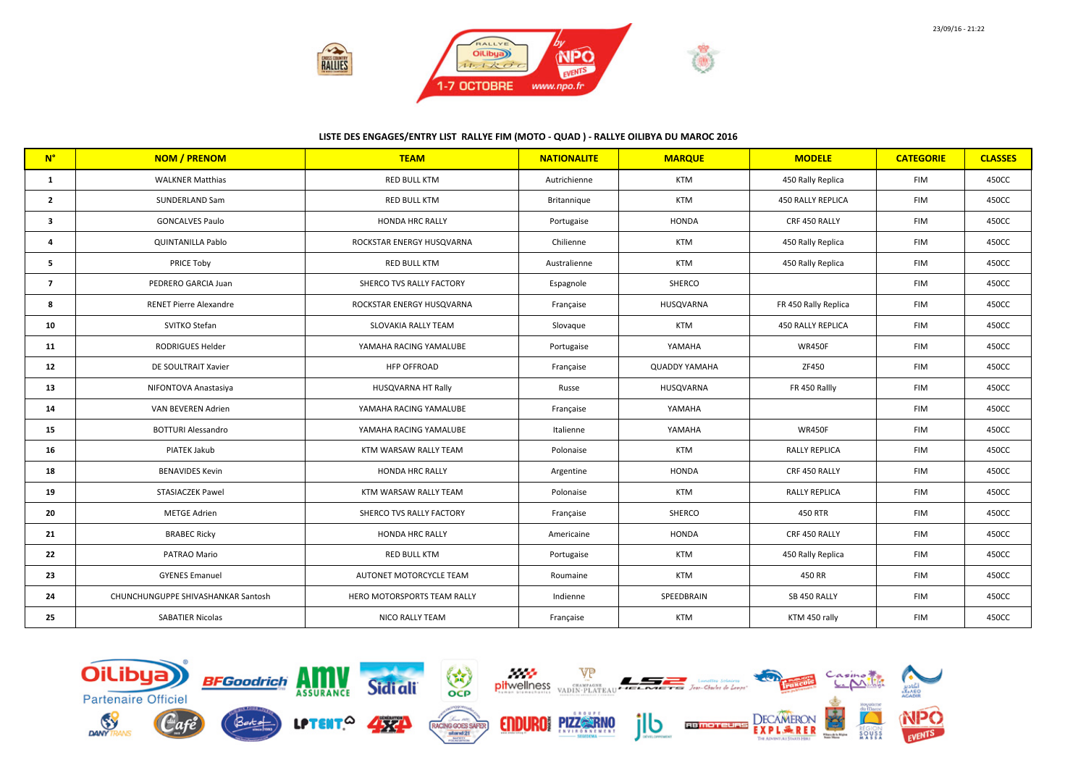

## LISTE DES ENGAGES/ENTRY LIST RALLYE FIM (MOTO - QUAD ) - RALLYE OILIBYA DU MAROC 2016

| $N^{\circ}$    | <b>NOM / PRENOM</b>                | <b>TEAM</b>                 | <b>NATIONALITE</b> | <b>MARQUE</b>        | <b>MODELE</b>            | <b>CATEGORIE</b> | <b>CLASSES</b> |
|----------------|------------------------------------|-----------------------------|--------------------|----------------------|--------------------------|------------------|----------------|
| 1              | <b>WALKNER Matthias</b>            | <b>RED BULL KTM</b>         | Autrichienne       | <b>KTM</b>           | 450 Rally Replica        | <b>FIM</b>       | 450CC          |
| $\mathbf{2}$   | SUNDERLAND Sam                     | <b>RED BULL KTM</b>         | Britannique        | <b>KTM</b>           | 450 RALLY REPLICA        | <b>FIM</b>       | 450CC          |
| 3              | <b>GONCALVES Paulo</b>             | HONDA HRC RALLY             | Portugaise         | <b>HONDA</b>         | CRF 450 RALLY            | <b>FIM</b>       | 450CC          |
| 4              | <b>QUINTANILLA Pablo</b>           | ROCKSTAR ENERGY HUSQVARNA   | Chilienne          | <b>KTM</b>           | 450 Rally Replica        | <b>FIM</b>       | 450CC          |
| 5              | PRICE Toby                         | <b>RED BULL KTM</b>         | Australienne       | <b>KTM</b>           | 450 Rally Replica        | <b>FIM</b>       | 450CC          |
| $\overline{7}$ | PEDRERO GARCIA Juan                | SHERCO TVS RALLY FACTORY    | Espagnole          | <b>SHERCO</b>        |                          | <b>FIM</b>       | 450CC          |
| 8              | <b>RENET Pierre Alexandre</b>      | ROCKSTAR ENERGY HUSQVARNA   | Française          | HUSQVARNA            | FR 450 Rally Replica     | <b>FIM</b>       | 450CC          |
| 10             | SVITKO Stefan                      | <b>SLOVAKIA RALLY TEAM</b>  | Slovaque           | <b>KTM</b>           | <b>450 RALLY REPLICA</b> | <b>FIM</b>       | 450CC          |
| 11             | RODRIGUES Helder                   | YAMAHA RACING YAMALUBE      | Portugaise         | YAMAHA               | <b>WR450F</b>            | <b>FIM</b>       | 450CC          |
| 12             | DE SOULTRAIT Xavier                | <b>HFP OFFROAD</b>          | Française          | <b>QUADDY YAMAHA</b> | ZF450                    | <b>FIM</b>       | 450CC          |
| 13             | NIFONTOVA Anastasiya               | HUSQVARNA HT Rally          | Russe              | HUSQVARNA            | FR 450 Rallly            | <b>FIM</b>       | 450CC          |
| 14             | VAN BEVEREN Adrien                 | YAMAHA RACING YAMALUBE      | Française          | YAMAHA               |                          | <b>FIM</b>       | 450CC          |
| 15             | <b>BOTTURI Alessandro</b>          | YAMAHA RACING YAMALUBE      | Italienne          | YAMAHA               | <b>WR450F</b>            | <b>FIM</b>       | 450CC          |
| 16             | PIATEK Jakub                       | KTM WARSAW RALLY TEAM       | Polonaise          | <b>KTM</b>           | <b>RALLY REPLICA</b>     | <b>FIM</b>       | 450CC          |
| 18             | <b>BENAVIDES Kevin</b>             | <b>HONDA HRC RALLY</b>      | Argentine          | <b>HONDA</b>         | CRF 450 RALLY            | <b>FIM</b>       | 450CC          |
| 19             | STASIACZEK Pawel                   | KTM WARSAW RALLY TEAM       | Polonaise          | <b>KTM</b>           | <b>RALLY REPLICA</b>     | <b>FIM</b>       | 450CC          |
| 20             | <b>METGE Adrien</b>                | SHERCO TVS RALLY FACTORY    | Française          | SHERCO               | 450 RTR                  | <b>FIM</b>       | 450CC          |
| 21             | <b>BRABEC Ricky</b>                | HONDA HRC RALLY             | Americaine         | <b>HONDA</b>         | CRF 450 RALLY            | <b>FIM</b>       | 450CC          |
| 22             | PATRAO Mario                       | <b>RED BULL KTM</b>         | Portugaise         | <b>KTM</b>           | 450 Rally Replica        | <b>FIM</b>       | 450CC          |
| 23             | <b>GYENES Emanuel</b>              | AUTONET MOTORCYCLE TEAM     | Roumaine           | <b>KTM</b>           | 450 RR                   | <b>FIM</b>       | 450CC          |
| 24             | CHUNCHUNGUPPE SHIVASHANKAR Santosh | HERO MOTORSPORTS TEAM RALLY | Indienne           | SPEEDBRAIN           | SB 450 RALLY             | <b>FIM</b>       | 450CC          |
| 25             | <b>SABATIER Nicolas</b>            | NICO RALLY TEAM             | Française          | <b>KTM</b>           | KTM 450 rally            | <b>FIM</b>       | 450CC          |

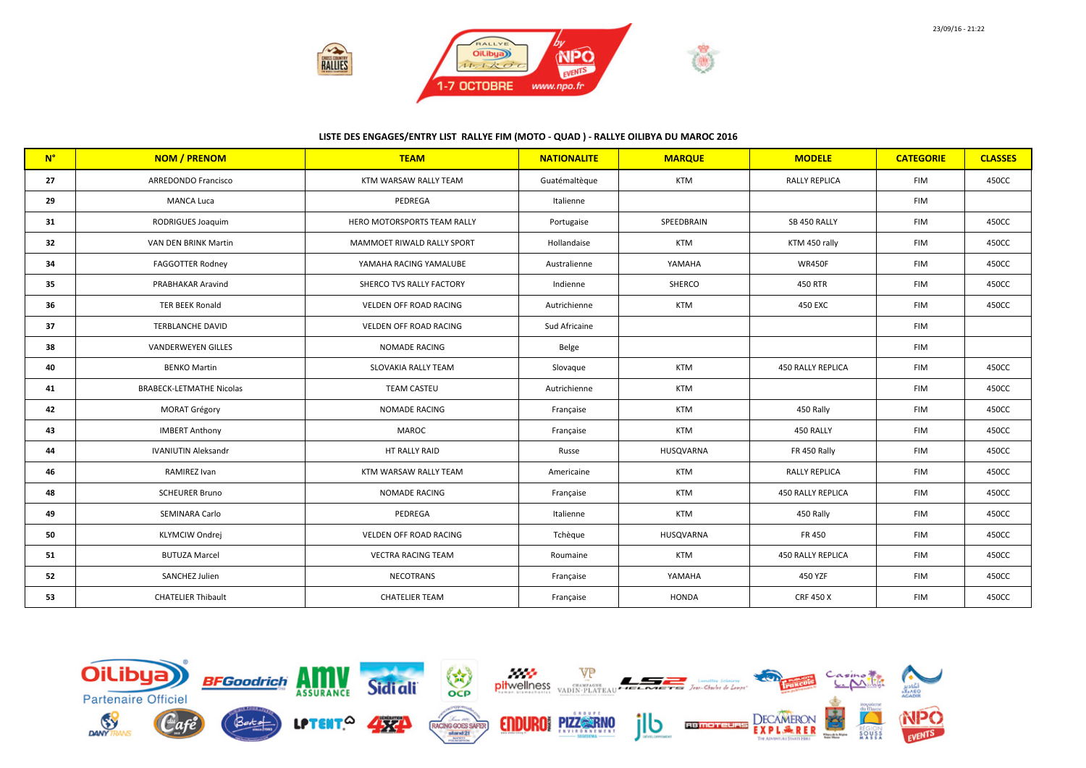

## LISTE DES ENGAGES/ENTRY LIST RALLYE FIM (MOTO - QUAD ) - RALLYE OILIBYA DU MAROC 2016

| $N^{\circ}$ | <b>NOM / PRENOM</b>             | <b>TEAM</b>                   | <b>NATIONALITE</b> | <b>MARQUE</b> | <b>MODELE</b>            | <b>CATEGORIE</b> | <b>CLASSES</b> |
|-------------|---------------------------------|-------------------------------|--------------------|---------------|--------------------------|------------------|----------------|
| 27          | ARREDONDO Francisco             | KTM WARSAW RALLY TEAM         | Guatémaltèque      | <b>KTM</b>    | <b>RALLY REPLICA</b>     | <b>FIM</b>       | 450CC          |
| 29          | <b>MANCA Luca</b>               | PEDREGA                       | Italienne          |               |                          | <b>FIM</b>       |                |
| 31          | RODRIGUES Joaquim               | HERO MOTORSPORTS TEAM RALLY   | Portugaise         | SPEEDBRAIN    | SB 450 RALLY             | <b>FIM</b>       | 450CC          |
| 32          | VAN DEN BRINK Martin            | MAMMOET RIWALD RALLY SPORT    | Hollandaise        | <b>KTM</b>    | KTM 450 rally            | <b>FIM</b>       | 450CC          |
| 34          | <b>FAGGOTTER Rodney</b>         | YAMAHA RACING YAMALUBE        | Australienne       | YAMAHA        | <b>WR450F</b>            | <b>FIM</b>       | 450CC          |
| 35          | PRABHAKAR Aravind               | SHERCO TVS RALLY FACTORY      | Indienne           | <b>SHERCO</b> | 450 RTR                  | <b>FIM</b>       | 450CC          |
| 36          | <b>TER BEEK Ronald</b>          | <b>VELDEN OFF ROAD RACING</b> | Autrichienne       | <b>KTM</b>    | 450 EXC                  | <b>FIM</b>       | 450CC          |
| 37          | <b>TERBLANCHE DAVID</b>         | VELDEN OFF ROAD RACING        | Sud Africaine      |               |                          | <b>FIM</b>       |                |
| 38          | <b>VANDERWEYEN GILLES</b>       | <b>NOMADE RACING</b>          | Belge              |               |                          | <b>FIM</b>       |                |
| 40          | <b>BENKO Martin</b>             | <b>SLOVAKIA RALLY TEAM</b>    | Slovaque           | <b>KTM</b>    | 450 RALLY REPLICA        | <b>FIM</b>       | 450CC          |
| 41          | <b>BRABECK-LETMATHE Nicolas</b> | <b>TEAM CASTEU</b>            | Autrichienne       | <b>KTM</b>    |                          | <b>FIM</b>       | 450CC          |
| 42          | <b>MORAT Grégory</b>            | <b>NOMADE RACING</b>          | Française          | <b>KTM</b>    | 450 Rally                | <b>FIM</b>       | 450CC          |
| 43          | <b>IMBERT Anthony</b>           | MAROC                         | Française          | <b>KTM</b>    | 450 RALLY                | <b>FIM</b>       | 450CC          |
| 44          | <b>IVANIUTIN Aleksandr</b>      | HT RALLY RAID                 | Russe              | HUSQVARNA     | FR 450 Rally             | <b>FIM</b>       | 450CC          |
| 46          | RAMIREZ Ivan                    | KTM WARSAW RALLY TEAM         | Americaine         | <b>KTM</b>    | <b>RALLY REPLICA</b>     | <b>FIM</b>       | 450CC          |
| 48          | <b>SCHEURER Bruno</b>           | <b>NOMADE RACING</b>          | Française          | <b>KTM</b>    | <b>450 RALLY REPLICA</b> | <b>FIM</b>       | 450CC          |
| 49          | SEMINARA Carlo                  | PEDREGA                       | Italienne          | <b>KTM</b>    | 450 Rally                | <b>FIM</b>       | 450CC          |
| 50          | KLYMCIW Ondrej                  | VELDEN OFF ROAD RACING        | Tchèque            | HUSQVARNA     | FR 450                   | <b>FIM</b>       | 450CC          |
| 51          | <b>BUTUZA Marcel</b>            | <b>VECTRA RACING TEAM</b>     | Roumaine           | <b>KTM</b>    | <b>450 RALLY REPLICA</b> | <b>FIM</b>       | 450CC          |
| 52          | SANCHEZ Julien                  | <b>NECOTRANS</b>              | Française          | YAMAHA        | 450 YZF                  | <b>FIM</b>       | 450CC          |
| 53          | <b>CHATELIER Thibault</b>       | <b>CHATELIER TEAM</b>         | Française          | <b>HONDA</b>  | <b>CRF 450 X</b>         | <b>FIM</b>       | 450CC          |